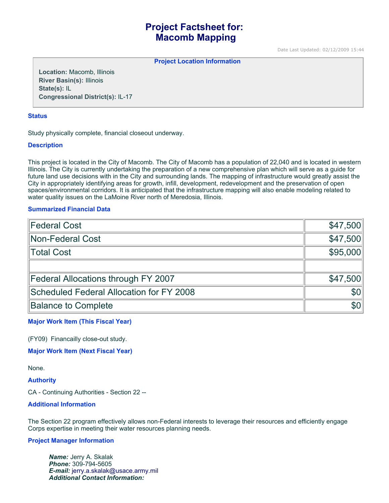# **Project Factsheet for: Macomb Mapping**

Date Last Updated: 02/12/2009 15:44

**Project Location Information** 

**Location:** Macomb, Illinois **River Basin(s):** Illinois **State(s):** IL **Congressional District(s):** IL-17

## **Status**

Study physically complete, financial closeout underway.

## **Description**

This project is located in the City of Macomb. The City of Macomb has a population of 22,040 and is located in western Illinois. The City is currently undertaking the preparation of a new comprehensive plan which will serve as a guide for future land use decisions with in the City and surrounding lands. The mapping of infrastructure would greatly assist the City in appropriately identifying areas for growth, infill, development, redevelopment and the preservation of open spaces/environmental corridors. It is anticipated that the infrastructure mapping will also enable modeling related to water quality issues on the LaMoine River north of Meredosia, Illinois.

# **Summarized Financial Data**

| Federal Cost                             | \$47,500   |
|------------------------------------------|------------|
| Non-Federal Cost                         | \$47,500   |
| Total Cost                               | \$95,000   |
|                                          |            |
| Federal Allocations through FY 2007      | \$47,500   |
| Scheduled Federal Allocation for FY 2008 | <b>\$0</b> |
| <b>Balance to Complete</b>               | \$0        |

# **Major Work Item (This Fiscal Year)**

(FY09) Financailly close-out study.

**Major Work Item (Next Fiscal Year)**

None.

#### **Authority**

CA - Continuing Authorities - Section 22 --

#### **Additional Information**

The Section 22 program effectively allows non-Federal interests to leverage their resources and efficiently engage Corps expertise in meeting their water resources planning needs.

### **Project Manager Information**

*Name:* Jerry A. Skalak *Phone:* 309-794-5605 *E-mail:* [jerry.a.skalak@usace.army.mil](mailto:jerry.a.skalak@usace.army.mil) *Additional Contact Information:*